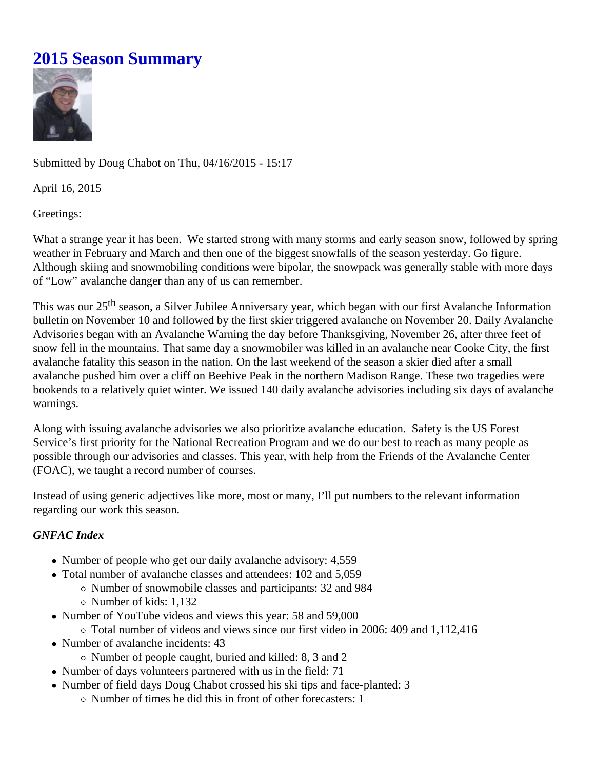## [2015 Season Summar](https://www.mtavalanche.com/blog/2015-season-summary)y

Submitted by Doug Chabot n Thu, 04/16/2015 - 15:17

April 16, 2015

Greetings:

What a strange year it has been. We started strong with many storms and early season snow, followed by sp weather in February and March and then one of the biggest snowfalls of the season yesterday. Go figure. Although skiing and snowmobiling conditions were bipolar, the snowpack was generally stable with more day of "Low" avalanche danger than any of us can remember.

This was our 2 season, a Silver Jubilee Anniversary year, which began with our first Avalanche Information bulletin on November 10 and followed by the first skier triggered avalanche on November 20. Daily Avalanche Advisories began with an Avalanche Warning the day before Thanksgiving, November 26, after three feet of snow fell in the mountains. That same day a snowmobiler was killed in an avalanche near Cooke City, the first avalanche fatality this season in the nation. On the last weekend of the season a skier died after a small avalanche pushed him over a cliff on Beehive Peak in the northern Madison Range. These two tragedies wer bookends to a relatively quiet winter. We issued 140 daily avalanche advisories including six days of avalancl warnings.

Along with issuing avalanche advisories we also prioritize avalanche education. Safety is the US Forest Service's first priority for the National Recreation Program and we do our best to reach as many people as possible through our advisories and classes. This year, with help from the Friends of the Avalanche Center (FOAC), we taught a record number of courses.

Instead of using generic adjectives like more, most or many, I'll put numbers to the relevant information regarding our work this season.

## GNFAC Index

- Number of people who get our daily avalanche advisory: 4,559
- Total number of avalanche classes and attendees: 102 and 5,059
	- Number of snowmobile classes and participants: 32 and 984
	- o Number of kids: 1,132
- Number of YouTube videos and views this year: 58 and 59,000
	- Total number of videos and views since our first video in 2006: 409 and 1,112,416
- Number of avalanche incidents: 43
	- $\circ$  Number of people caught, buried and killed: 8, 3 and 2
- Number of days volunteers partnered with us in the field: 71
- Number of field days Doug Chabot crossed his ski tips and face-planted: 3  $\circ$  Number of times he did this in front of other forecasters: 1